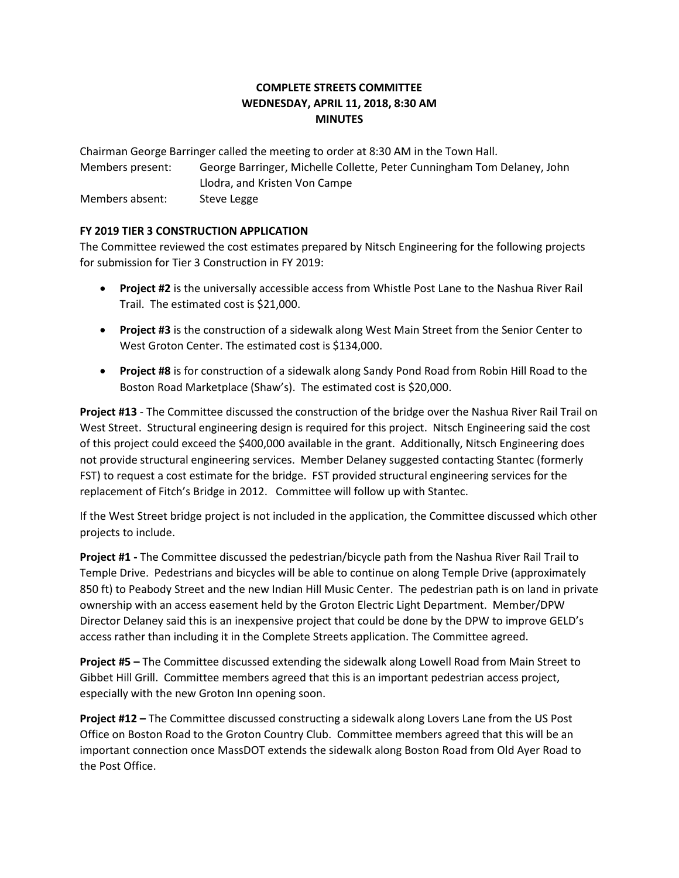## **COMPLETE STREETS COMMITTEE WEDNESDAY, APRIL 11, 2018, 8:30 AM MINUTES**

Chairman George Barringer called the meeting to order at 8:30 AM in the Town Hall. Members present: George Barringer, Michelle Collette, Peter Cunningham Tom Delaney, John Llodra, and Kristen Von Campe Members absent: Steve Legge

## **FY 2019 TIER 3 CONSTRUCTION APPLICATION**

The Committee reviewed the cost estimates prepared by Nitsch Engineering for the following projects for submission for Tier 3 Construction in FY 2019:

- **Project #2** is the universally accessible access from Whistle Post Lane to the Nashua River Rail Trail. The estimated cost is \$21,000.
- **Project #3** is the construction of a sidewalk along West Main Street from the Senior Center to West Groton Center. The estimated cost is \$134,000.
- **Project #8** is for construction of a sidewalk along Sandy Pond Road from Robin Hill Road to the Boston Road Marketplace (Shaw's). The estimated cost is \$20,000.

**Project #13** - The Committee discussed the construction of the bridge over the Nashua River Rail Trail on West Street. Structural engineering design is required for this project. Nitsch Engineering said the cost of this project could exceed the \$400,000 available in the grant. Additionally, Nitsch Engineering does not provide structural engineering services. Member Delaney suggested contacting Stantec (formerly FST) to request a cost estimate for the bridge. FST provided structural engineering services for the replacement of Fitch's Bridge in 2012. Committee will follow up with Stantec.

If the West Street bridge project is not included in the application, the Committee discussed which other projects to include.

**Project #1 -** The Committee discussed the pedestrian/bicycle path from the Nashua River Rail Trail to Temple Drive. Pedestrians and bicycles will be able to continue on along Temple Drive (approximately 850 ft) to Peabody Street and the new Indian Hill Music Center. The pedestrian path is on land in private ownership with an access easement held by the Groton Electric Light Department. Member/DPW Director Delaney said this is an inexpensive project that could be done by the DPW to improve GELD's access rather than including it in the Complete Streets application. The Committee agreed.

**Project #5 –** The Committee discussed extending the sidewalk along Lowell Road from Main Street to Gibbet Hill Grill. Committee members agreed that this is an important pedestrian access project, especially with the new Groton Inn opening soon.

**Project #12 –** The Committee discussed constructing a sidewalk along Lovers Lane from the US Post Office on Boston Road to the Groton Country Club. Committee members agreed that this will be an important connection once MassDOT extends the sidewalk along Boston Road from Old Ayer Road to the Post Office.